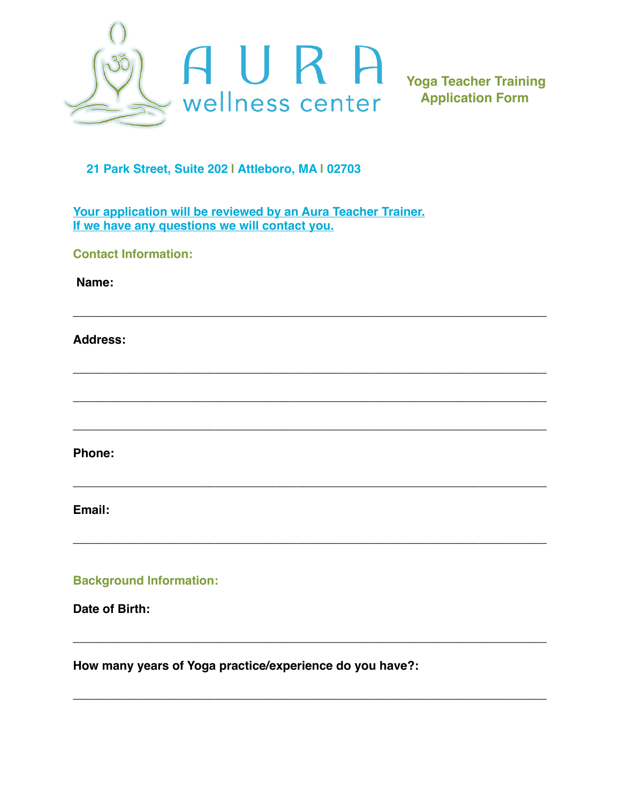

**Yoga Teacher Training Application Form**

## **21 Park Street, Suite 202 | Attleboro, MA | 02703**

**Your application will be reviewed by an Aura Teacher Trainer. If we have any questions we will contact you.**

**\_\_\_\_\_\_\_\_\_\_\_\_\_\_\_\_\_\_\_\_\_\_\_\_\_\_\_\_\_\_\_\_\_\_\_\_\_\_\_\_\_\_\_\_\_\_\_\_\_\_\_\_\_\_\_\_\_\_\_\_\_\_\_\_\_\_\_\_\_\_**

**\_\_\_\_\_\_\_\_\_\_\_\_\_\_\_\_\_\_\_\_\_\_\_\_\_\_\_\_\_\_\_\_\_\_\_\_\_\_\_\_\_\_\_\_\_\_\_\_\_\_\_\_\_\_\_\_\_\_\_\_\_\_\_\_\_\_\_\_\_\_**

**\_\_\_\_\_\_\_\_\_\_\_\_\_\_\_\_\_\_\_\_\_\_\_\_\_\_\_\_\_\_\_\_\_\_\_\_\_\_\_\_\_\_\_\_\_\_\_\_\_\_\_\_\_\_\_\_\_\_\_\_\_\_\_\_\_\_\_\_\_\_**

**\_\_\_\_\_\_\_\_\_\_\_\_\_\_\_\_\_\_\_\_\_\_\_\_\_\_\_\_\_\_\_\_\_\_\_\_\_\_\_\_\_\_\_\_\_\_\_\_\_\_\_\_\_\_\_\_\_\_\_\_\_\_\_\_\_\_\_\_\_\_** 

**\_\_\_\_\_\_\_\_\_\_\_\_\_\_\_\_\_\_\_\_\_\_\_\_\_\_\_\_\_\_\_\_\_\_\_\_\_\_\_\_\_\_\_\_\_\_\_\_\_\_\_\_\_\_\_\_\_\_\_\_\_\_\_\_\_\_\_\_\_\_**

**\_\_\_\_\_\_\_\_\_\_\_\_\_\_\_\_\_\_\_\_\_\_\_\_\_\_\_\_\_\_\_\_\_\_\_\_\_\_\_\_\_\_\_\_\_\_\_\_\_\_\_\_\_\_\_\_\_\_\_\_\_\_\_\_\_\_\_\_\_\_** 

**\_\_\_\_\_\_\_\_\_\_\_\_\_\_\_\_\_\_\_\_\_\_\_\_\_\_\_\_\_\_\_\_\_\_\_\_\_\_\_\_\_\_\_\_\_\_\_\_\_\_\_\_\_\_\_\_\_\_\_\_\_\_\_\_\_\_\_\_\_\_**

**\_\_\_\_\_\_\_\_\_\_\_\_\_\_\_\_\_\_\_\_\_\_\_\_\_\_\_\_\_\_\_\_\_\_\_\_\_\_\_\_\_\_\_\_\_\_\_\_\_\_\_\_\_\_\_\_\_\_\_\_\_\_\_\_\_\_\_\_\_\_**

**Contact Information:**

 **Name:**

**Address:**

**Phone:**

**Email:**

**Background Information:**

**Date of Birth:**

**How many years of Yoga practice/experience do you have?:**